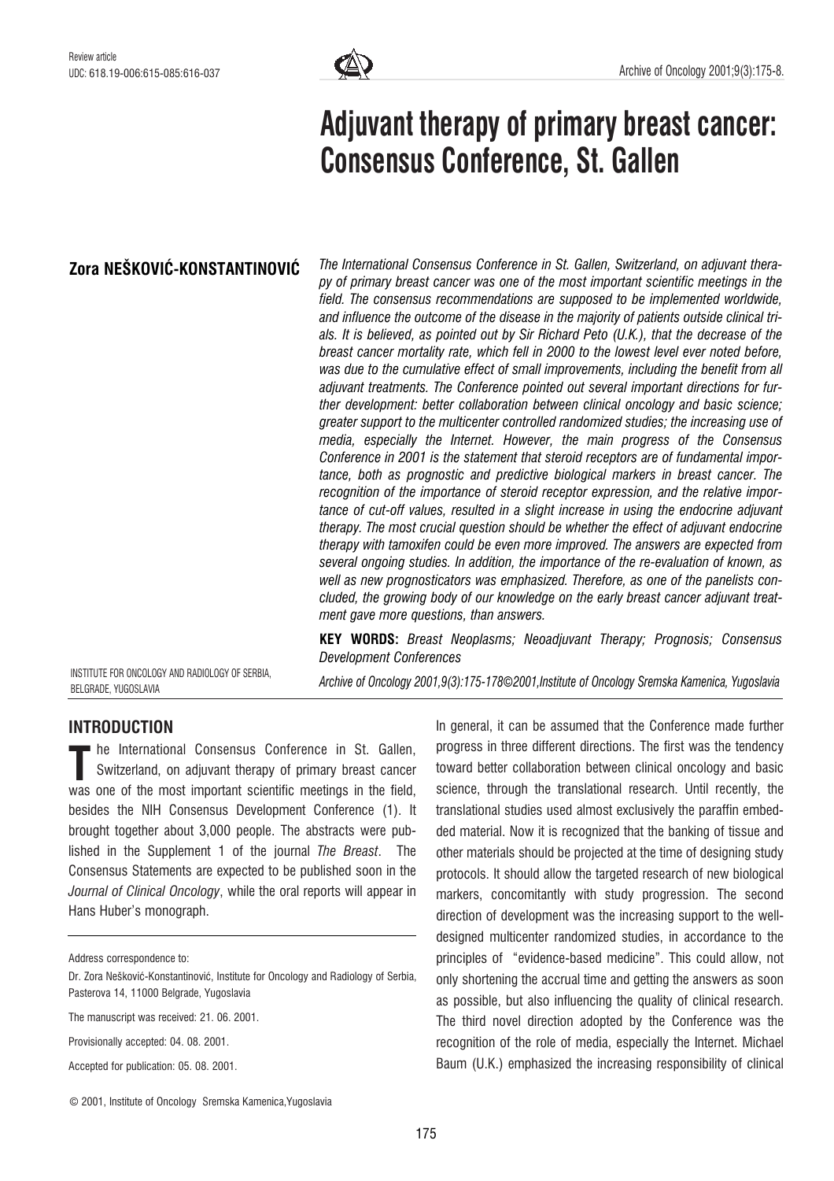

# Adjuvant therapy of primary breast cancer: Consensus Conference, St. Gallen

# Zora NEŠKOVIĆ-KONSTANTINOVIĆ

The International Consensus Conference in St. Gallen, Switzerland, on adjuvant therapy of primary breast cancer was one of the most important scientific meetings in the field. The consensus recommendations are supposed to be implemented worldwide, and influence the outcome of the disease in the majority of patients outside clinical trials. It is believed, as pointed out by Sir Richard Peto (U.K.), that the decrease of the breast cancer mortality rate, which fell in 2000 to the lowest level ever noted before, was due to the cumulative effect of small improvements, including the benefit from all adjuvant treatments. The Conference pointed out several important directions for further development: better collaboration between clinical oncology and basic science; greater support to the multicenter controlled randomized studies; the increasing use of media, especially the Internet. However, the main progress of the Consensus Conference in 2001 is the statement that steroid receptors are of fundamental importance, both as prognostic and predictive biological markers in breast cancer. The recognition of the importance of steroid receptor expression, and the relative importance of cut-off values, resulted in a slight increase in using the endocrine adjuvant therapy. The most crucial question should be whether the effect of adjuvant endocrine therapy with tamoxifen could be even more improved. The answers are expected from several ongoing studies. In addition, the importance of the re-evaluation of known, as well as new prognosticators was emphasized. Therefore, as one of the panelists concluded, the growing body of our knowledge on the early breast cancer adjuvant treatment gave more questions, than answers.

KEY WORDS: Breast Neoplasms; Neoadjuvant Therapy; Prognosis; Consensus Development Conferences

INSTITUTE FOR ONCOLOGY AND RADIOLOGY OF SERBIA, BELGRADE, YUGOSLAVIA

Archive of Oncology 2001,9(3):175-178*©*2001,Institute of Oncology Sremska Kamenica, Yugoslavia

# INTRODUCTION

he International Consensus Conference in St. Gallen, Switzerland, on adjuvant therapy of primary breast cancer The International Consensus Conference in St. Gallen,<br>Switzerland, on adjuvant therapy of primary breast cancer<br>was one of the most important scientific meetings in the field, besides the NIH Consensus Development Conference (1). It brought together about 3,000 people. The abstracts were published in the Supplement 1 of the journal The Breast. The Consensus Statements are expected to be published soon in the Journal of Clinical Oncology, while the oral reports will appear in Hans Huber's monograph.

Provisionally accepted: 04. 08. 2001.

Accepted for publication: 05. 08. 2001.

In general, it can be assumed that the Conference made further progress in three different directions. The first was the tendency toward better collaboration between clinical oncology and basic science, through the translational research. Until recently, the translational studies used almost exclusively the paraffin embedded material. Now it is recognized that the banking of tissue and other materials should be projected at the time of designing study protocols. It should allow the targeted research of new biological markers, concomitantly with study progression. The second direction of development was the increasing support to the welldesigned multicenter randomized studies, in accordance to the principles of "evidence-based medicine". This could allow, not only shortening the accrual time and getting the answers as soon as possible, but also influencing the quality of clinical research. The third novel direction adopted by the Conference was the recognition of the role of media, especially the Internet. Michael Baum (U.K.) emphasized the increasing responsibility of clinical

Address correspondence to:

Dr. Zora Nešković-Konstantinović, Institute for Oncology and Radiology of Serbia, Pasterova 14, 11000 Belgrade, Yugoslavia

The manuscript was received: 21, 06, 2001.

<sup>©</sup> 2001, Institute of Oncology Sremska Kamenica,Yugoslavia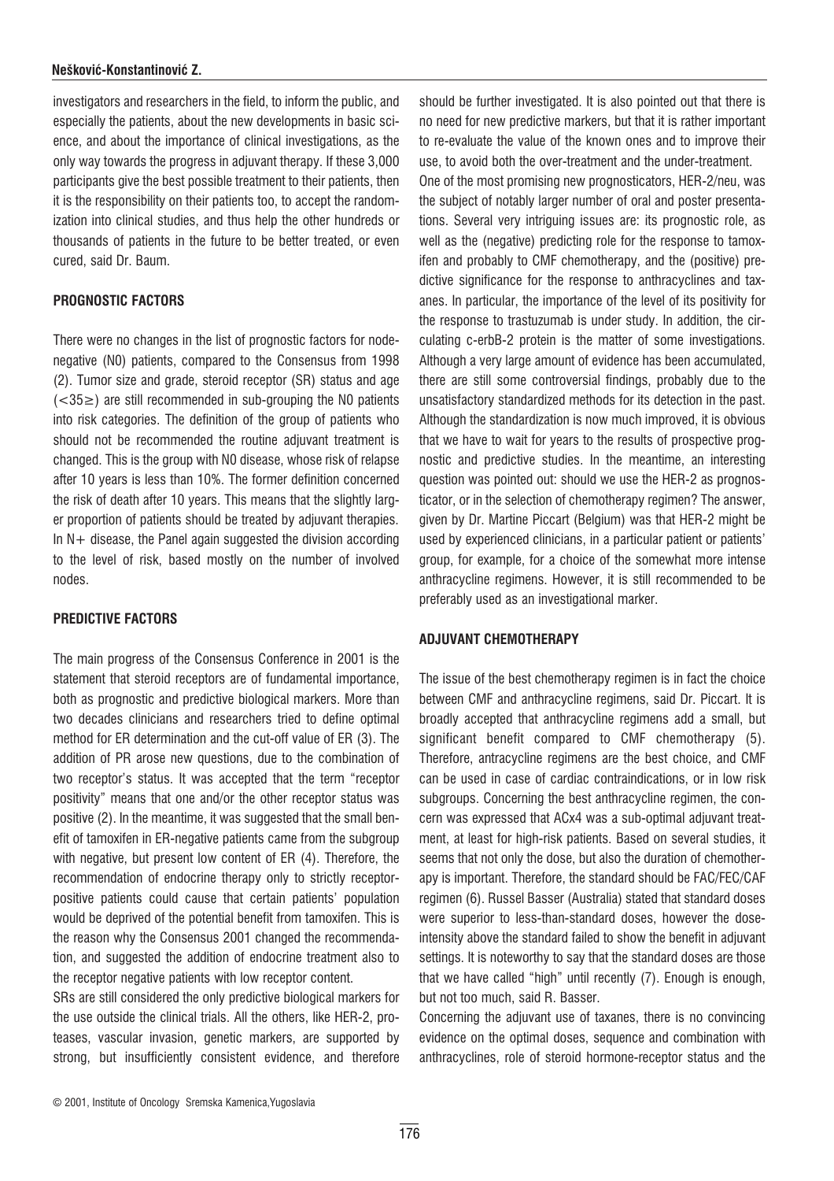#### Nešković-Konstantinović Z.

investigators and researchers in the field, to inform the public, and especially the patients, about the new developments in basic science, and about the importance of clinical investigations, as the only way towards the progress in adjuvant therapy. If these 3,000 participants give the best possible treatment to their patients, then it is the responsibility on their patients too, to accept the randomization into clinical studies, and thus help the other hundreds or thousands of patients in the future to be better treated, or even cured, said Dr. Baum.

#### PROGNOSTIC FACTORS

There were no changes in the list of prognostic factors for nodenegative (N0) patients, compared to the Consensus from 1998 (2). Tumor size and grade, steroid receptor (SR) status and age  $(<35\geq$ ) are still recommended in sub-grouping the N0 patients into risk categories. The definition of the group of patients who should not be recommended the routine adjuvant treatment is changed. This is the group with N0 disease, whose risk of relapse after 10 years is less than 10%. The former definition concerned the risk of death after 10 years. This means that the slightly larger proportion of patients should be treated by adjuvant therapies. In  $N+$  disease, the Panel again suggested the division according to the level of risk, based mostly on the number of involved nodes.

## PREDICTIVE FACTORS

The main progress of the Consensus Conference in 2001 is the statement that steroid receptors are of fundamental importance, both as prognostic and predictive biological markers. More than two decades clinicians and researchers tried to define optimal method for ER determination and the cut-off value of ER (3). The addition of PR arose new questions, due to the combination of two receptor's status. It was accepted that the term "receptor positivity" means that one and/or the other receptor status was positive (2). In the meantime, it was suggested that the small benefit of tamoxifen in ER-negative patients came from the subgroup with negative, but present low content of ER (4). Therefore, the recommendation of endocrine therapy only to strictly receptorpositive patients could cause that certain patients' population would be deprived of the potential benefit from tamoxifen. This is the reason why the Consensus 2001 changed the recommendation, and suggested the addition of endocrine treatment also to the receptor negative patients with low receptor content.

SRs are still considered the only predictive biological markers for the use outside the clinical trials. All the others, like HER-2, proteases, vascular invasion, genetic markers, are supported by strong, but insufficiently consistent evidence, and therefore

should be further investigated. It is also pointed out that there is no need for new predictive markers, but that it is rather important to re-evaluate the value of the known ones and to improve their use, to avoid both the over-treatment and the under-treatment. One of the most promising new prognosticators, HER-2/neu, was the subject of notably larger number of oral and poster presentations. Several very intriguing issues are: its prognostic role, as well as the (negative) predicting role for the response to tamoxifen and probably to CMF chemotherapy, and the (positive) predictive significance for the response to anthracyclines and taxanes. In particular, the importance of the level of its positivity for the response to trastuzumab is under study. In addition, the circulating c-erbB-2 protein is the matter of some investigations. Although a very large amount of evidence has been accumulated, there are still some controversial findings, probably due to the unsatisfactory standardized methods for its detection in the past. Although the standardization is now much improved, it is obvious that we have to wait for years to the results of prospective prognostic and predictive studies. In the meantime, an interesting question was pointed out: should we use the HER-2 as prognosticator, or in the selection of chemotherapy regimen? The answer, given by Dr. Martine Piccart (Belgium) was that HER-2 might be used by experienced clinicians, in a particular patient or patients' group, for example, for a choice of the somewhat more intense anthracycline regimens. However, it is still recommended to be preferably used as an investigational marker.

## ADJUVANT CHEMOTHERAPY

The issue of the best chemotherapy regimen is in fact the choice between CMF and anthracycline regimens, said Dr. Piccart. It is broadly accepted that anthracycline regimens add a small, but significant benefit compared to CMF chemotherapy (5). Therefore, antracycline regimens are the best choice, and CMF can be used in case of cardiac contraindications, or in low risk subgroups. Concerning the best anthracycline regimen, the concern was expressed that ACx4 was a sub-optimal adjuvant treatment, at least for high-risk patients. Based on several studies, it seems that not only the dose, but also the duration of chemotherapy is important. Therefore, the standard should be FAC/FEC/CAF regimen (6). Russel Basser (Australia) stated that standard doses were superior to less-than-standard doses, however the doseintensity above the standard failed to show the benefit in adjuvant settings. It is noteworthy to say that the standard doses are those that we have called "high" until recently (7). Enough is enough, but not too much, said R. Basser.

Concerning the adjuvant use of taxanes, there is no convincing evidence on the optimal doses, sequence and combination with anthracyclines, role of steroid hormone-receptor status and the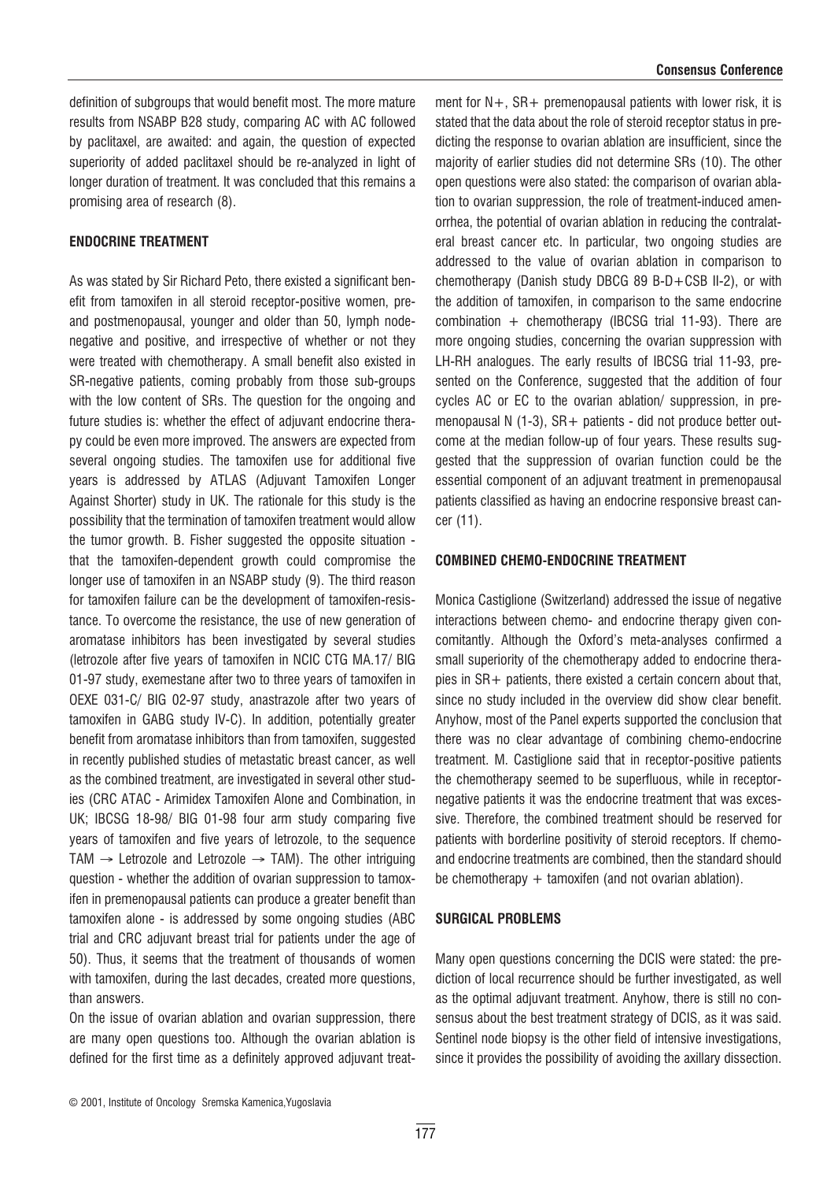definition of subgroups that would benefit most. The more mature results from NSABP B28 study, comparing AC with AC followed by paclitaxel, are awaited: and again, the question of expected superiority of added paclitaxel should be re-analyzed in light of longer duration of treatment. It was concluded that this remains a promising area of research (8).

#### ENDOCRINE TREATMENT

As was stated by Sir Richard Peto, there existed a significant benefit from tamoxifen in all steroid receptor-positive women, preand postmenopausal, younger and older than 50, lymph nodenegative and positive, and irrespective of whether or not they were treated with chemotherapy. A small benefit also existed in SR-negative patients, coming probably from those sub-groups with the low content of SRs. The question for the ongoing and future studies is: whether the effect of adjuvant endocrine therapy could be even more improved. The answers are expected from several ongoing studies. The tamoxifen use for additional five years is addressed by ATLAS (Adjuvant Tamoxifen Longer Against Shorter) study in UK. The rationale for this study is the possibility that the termination of tamoxifen treatment would allow the tumor growth. B. Fisher suggested the opposite situation that the tamoxifen-dependent growth could compromise the longer use of tamoxifen in an NSABP study (9). The third reason for tamoxifen failure can be the development of tamoxifen-resistance. To overcome the resistance, the use of new generation of aromatase inhibitors has been investigated by several studies (letrozole after five years of tamoxifen in NCIC CTG MA.17/ BIG 01-97 study, exemestane after two to three years of tamoxifen in OEXE 031-C/ BIG 02-97 study, anastrazole after two years of tamoxifen in GABG study IV-C). In addition, potentially greater benefit from aromatase inhibitors than from tamoxifen, suggested in recently published studies of metastatic breast cancer, as well as the combined treatment, are investigated in several other studies (CRC ATAC - Arimidex Tamoxifen Alone and Combination, in UK; IBCSG 18-98/ BIG 01-98 four arm study comparing five years of tamoxifen and five years of letrozole, to the sequence TAM  $\rightarrow$  Letrozole and Letrozole  $\rightarrow$  TAM). The other intriguing question - whether the addition of ovarian suppression to tamoxifen in premenopausal patients can produce a greater benefit than tamoxifen alone - is addressed by some ongoing studies (ABC trial and CRC adjuvant breast trial for patients under the age of 50). Thus, it seems that the treatment of thousands of women with tamoxifen, during the last decades, created more questions, than answers.

On the issue of ovarian ablation and ovarian suppression, there are many open questions too. Although the ovarian ablation is defined for the first time as a definitely approved adjuvant treatment for  $N +$ ,  $SR +$  premenopausal patients with lower risk, it is stated that the data about the role of steroid receptor status in predicting the response to ovarian ablation are insufficient, since the majority of earlier studies did not determine SRs (10). The other open questions were also stated: the comparison of ovarian ablation to ovarian suppression, the role of treatment-induced amenorrhea, the potential of ovarian ablation in reducing the contralateral breast cancer etc. In particular, two ongoing studies are addressed to the value of ovarian ablation in comparison to chemotherapy (Danish study DBCG 89 B-D+CSB II-2), or with the addition of tamoxifen, in comparison to the same endocrine combination  $+$  chemotherapy (IBCSG trial 11-93). There are more ongoing studies, concerning the ovarian suppression with LH-RH analogues. The early results of IBCSG trial 11-93, presented on the Conference, suggested that the addition of four cycles AC or EC to the ovarian ablation/ suppression, in premenopausal N (1-3), SR+ patients - did not produce better outcome at the median follow-up of four years. These results suggested that the suppression of ovarian function could be the essential component of an adjuvant treatment in premenopausal patients classified as having an endocrine responsive breast cancer (11).

#### COMBINED CHEMO-ENDOCRINE TREATMENT

Monica Castiglione (Switzerland) addressed the issue of negative interactions between chemo- and endocrine therapy given concomitantly. Although the Oxford's meta-analyses confirmed a small superiority of the chemotherapy added to endocrine therapies in  $SR+$  patients, there existed a certain concern about that, since no study included in the overview did show clear benefit. Anyhow, most of the Panel experts supported the conclusion that there was no clear advantage of combining chemo-endocrine treatment. M. Castiglione said that in receptor-positive patients the chemotherapy seemed to be superfluous, while in receptornegative patients it was the endocrine treatment that was excessive. Therefore, the combined treatment should be reserved for patients with borderline positivity of steroid receptors. If chemoand endocrine treatments are combined, then the standard should be chemotherapy  $+$  tamoxifen (and not ovarian ablation).

#### SURGICAL PROBLEMS

Many open questions concerning the DCIS were stated: the prediction of local recurrence should be further investigated, as well as the optimal adjuvant treatment. Anyhow, there is still no consensus about the best treatment strategy of DCIS, as it was said. Sentinel node biopsy is the other field of intensive investigations, since it provides the possibility of avoiding the axillary dissection.